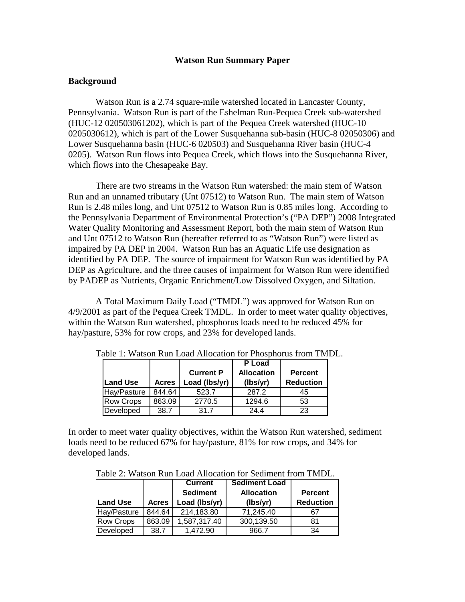# **Watson Run Summary Paper**

## **Background**

Watson Run is a 2.74 square-mile watershed located in Lancaster County, Pennsylvania. Watson Run is part of the Eshelman Run-Pequea Creek sub-watershed (HUC-12 020503061202), which is part of the Pequea Creek watershed (HUC-10 0205030612), which is part of the Lower Susquehanna sub-basin (HUC-8 02050306) and Lower Susquehanna basin (HUC-6 020503) and Susquehanna River basin (HUC-4 0205). Watson Run flows into Pequea Creek, which flows into the Susquehanna River, which flows into the Chesapeake Bay.

There are two streams in the Watson Run watershed: the main stem of Watson Run and an unnamed tributary (Unt 07512) to Watson Run. The main stem of Watson Run is 2.48 miles long, and Unt 07512 to Watson Run is 0.85 miles long. According to the Pennsylvania Department of Environmental Protection's ("PA DEP") 2008 Integrated Water Quality Monitoring and Assessment Report, both the main stem of Watson Run and Unt 07512 to Watson Run (hereafter referred to as "Watson Run") were listed as impaired by PA DEP in 2004. Watson Run has an Aquatic Life use designation as identified by PA DEP. The source of impairment for Watson Run was identified by PA DEP as Agriculture, and the three causes of impairment for Watson Run were identified by PADEP as Nutrients, Organic Enrichment/Low Dissolved Oxygen, and Siltation.

A Total Maximum Daily Load ("TMDL") was approved for Watson Run on 4/9/2001 as part of the Pequea Creek TMDL. In order to meet water quality objectives, within the Watson Run watershed, phosphorus loads need to be reduced 45% for hay/pasture, 53% for row crops, and 23% for developed lands.

|                  |              | <b>Current P</b> | P Load<br><b>Allocation</b> | <b>Percent</b>   |
|------------------|--------------|------------------|-----------------------------|------------------|
| <b>Land Use</b>  | <b>Acres</b> | Load (Ibs/yr)    | (lbs/yr)                    | <b>Reduction</b> |
| Hay/Pasture      | 844.64       | 523.7            | 287.2                       | 45               |
| <b>Row Crops</b> | 863.09       | 2770.5           | 1294.6                      | 53               |
| Developed        | 38.7         | 31.7             | 24.4                        | 23               |

Table 1: Watson Run Load Allocation for Phosphorus from TMDL.

In order to meet water quality objectives, within the Watson Run watershed, sediment loads need to be reduced 67% for hay/pasture, 81% for row crops, and 34% for developed lands.

Table 2: Watson Run Load Allocation for Sediment from TMDL.

|                 |              | <b>Current</b>  | <b>Sediment Load</b> |                  |
|-----------------|--------------|-----------------|----------------------|------------------|
|                 |              | <b>Sediment</b> | <b>Allocation</b>    | <b>Percent</b>   |
| <b>Land Use</b> | <b>Acres</b> | Load (lbs/yr)   | (lbs/yr)             | <b>Reduction</b> |
| Hay/Pasture     | 844.64       | 214,183.80      | 71.245.40            | 67               |
| Row Crops       | 863.09       | 1,587,317.40    | 300,139.50           | 81               |
| Developed       | 38.7         | 1.472.90        | 966.7                | 34               |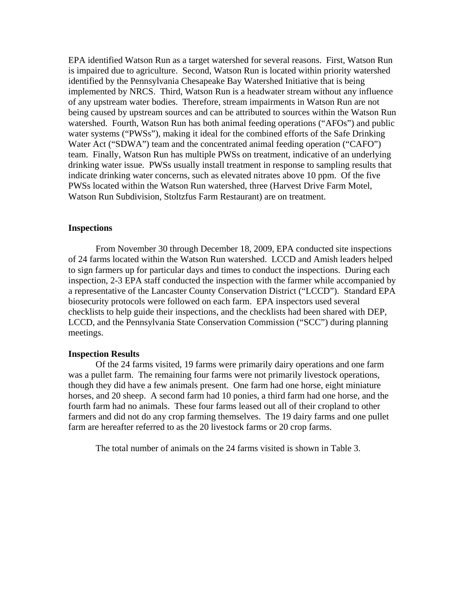EPA identified Watson Run as a target watershed for several reasons. First, Watson Run is impaired due to agriculture. Second, Watson Run is located within priority watershed identified by the Pennsylvania Chesapeake Bay Watershed Initiative that is being implemented by NRCS. Third, Watson Run is a headwater stream without any influence of any upstream water bodies. Therefore, stream impairments in Watson Run are not being caused by upstream sources and can be attributed to sources within the Watson Run watershed. Fourth, Watson Run has both animal feeding operations ("AFOs") and public water systems ("PWSs"), making it ideal for the combined efforts of the Safe Drinking Water Act ("SDWA") team and the concentrated animal feeding operation ("CAFO") team. Finally, Watson Run has multiple PWSs on treatment, indicative of an underlying drinking water issue. PWSs usually install treatment in response to sampling results that indicate drinking water concerns, such as elevated nitrates above 10 ppm. Of the five PWSs located within the Watson Run watershed, three (Harvest Drive Farm Motel, Watson Run Subdivision, Stoltzfus Farm Restaurant) are on treatment.

# **Inspections**

 From November 30 through December 18, 2009, EPA conducted site inspections of 24 farms located within the Watson Run watershed. LCCD and Amish leaders helped to sign farmers up for particular days and times to conduct the inspections. During each inspection, 2-3 EPA staff conducted the inspection with the farmer while accompanied by a representative of the Lancaster County Conservation District ("LCCD"). Standard EPA biosecurity protocols were followed on each farm. EPA inspectors used several checklists to help guide their inspections, and the checklists had been shared with DEP, LCCD, and the Pennsylvania State Conservation Commission ("SCC") during planning meetings.

### **Inspection Results**

 Of the 24 farms visited, 19 farms were primarily dairy operations and one farm was a pullet farm. The remaining four farms were not primarily livestock operations, though they did have a few animals present. One farm had one horse, eight miniature horses, and 20 sheep. A second farm had 10 ponies, a third farm had one horse, and the fourth farm had no animals. These four farms leased out all of their cropland to other farmers and did not do any crop farming themselves. The 19 dairy farms and one pullet farm are hereafter referred to as the 20 livestock farms or 20 crop farms.

The total number of animals on the 24 farms visited is shown in Table 3.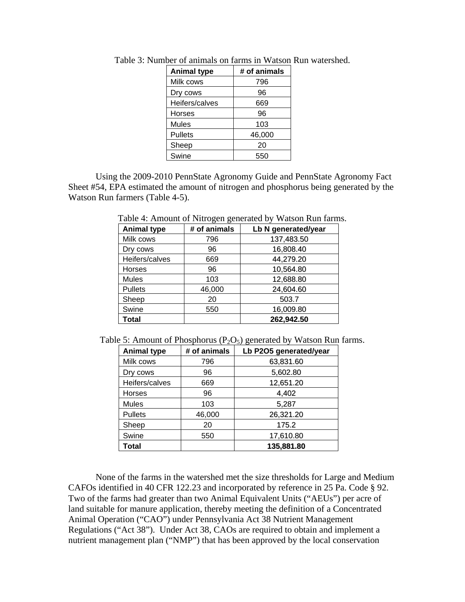| <b>Animal type</b> | # of animals |
|--------------------|--------------|
| Milk cows          | 796          |
| Dry cows           | 96           |
| Heifers/calves     | 669          |
| Horses             | 96           |
| <b>Mules</b>       | 103          |
| <b>Pullets</b>     | 46,000       |
| Sheep              | 20           |
| Swine              | 550          |

Table 3: Number of animals on farms in Watson Run watershed.

 Using the 2009-2010 PennState Agronomy Guide and PennState Agronomy Fact Sheet #54, EPA estimated the amount of nitrogen and phosphorus being generated by the Watson Run farmers (Table 4-5).

| <b>Animal type</b> | # of animals | Lb N generated/year |
|--------------------|--------------|---------------------|
| Milk cows          | 796          | 137,483.50          |
| Dry cows           | 96           | 16,808.40           |
| Heifers/calves     | 669          | 44,279.20           |
| <b>Horses</b>      | 96           | 10,564.80           |
| <b>Mules</b>       | 103          | 12,688.80           |
| <b>Pullets</b>     | 46,000       | 24,604.60           |
| Sheep              | 20           | 503.7               |
| Swine              | 550          | 16,009.80           |
| <b>Total</b>       |              | 262,942.50          |

Table 4: Amount of Nitrogen generated by Watson Run farms.

Table 5: Amount of Phosphorus ( $P_2O_5$ ) generated by Watson Run farms.

| <b>Animal type</b> | # of animals | Lb P2O5 generated/year |
|--------------------|--------------|------------------------|
| Milk cows          | 796          | 63,831.60              |
| Dry cows           | 96           | 5,602.80               |
| Heifers/calves     | 669          | 12,651.20              |
| Horses             | 96           | 4,402                  |
| <b>Mules</b>       | 103          | 5,287                  |
| <b>Pullets</b>     | 46,000       | 26,321.20              |
| Sheep              | 20           | 175.2                  |
| Swine              | 550          | 17,610.80              |
| Total              |              | 135,881.80             |

None of the farms in the watershed met the size thresholds for Large and Medium CAFOs identified in 40 CFR 122.23 and incorporated by reference in 25 Pa. Code § 92. Two of the farms had greater than two Animal Equivalent Units ("AEUs") per acre of land suitable for manure application, thereby meeting the definition of a Concentrated Animal Operation ("CAO") under Pennsylvania Act 38 Nutrient Management Regulations ("Act 38"). Under Act 38, CAOs are required to obtain and implement a nutrient management plan ("NMP") that has been approved by the local conservation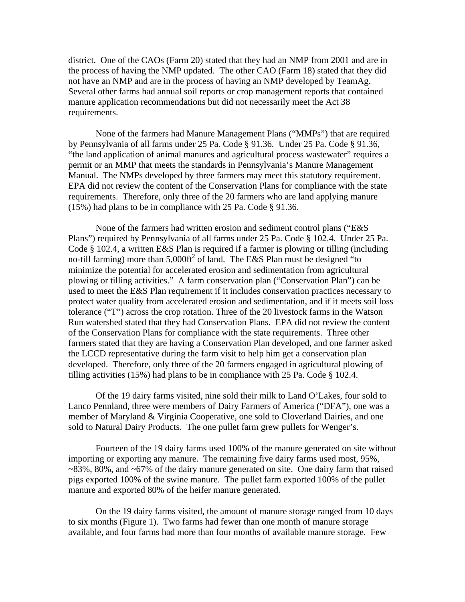district. One of the CAOs (Farm 20) stated that they had an NMP from 2001 and are in the process of having the NMP updated. The other CAO (Farm 18) stated that they did not have an NMP and are in the process of having an NMP developed by TeamAg. Several other farms had annual soil reports or crop management reports that contained manure application recommendations but did not necessarily meet the Act 38 requirements.

None of the farmers had Manure Management Plans ("MMPs") that are required by Pennsylvania of all farms under 25 Pa. Code § 91.36. Under 25 Pa. Code § 91.36, "the land application of animal manures and agricultural process wastewater" requires a permit or an MMP that meets the standards in Pennsylvania's Manure Management Manual. The NMPs developed by three farmers may meet this statutory requirement. EPA did not review the content of the Conservation Plans for compliance with the state requirements. Therefore, only three of the 20 farmers who are land applying manure (15%) had plans to be in compliance with 25 Pa. Code § 91.36.

None of the farmers had written erosion and sediment control plans ("E&S Plans") required by Pennsylvania of all farms under 25 Pa. Code § 102.4. Under 25 Pa. Code § 102.4, a written E&S Plan is required if a farmer is plowing or tilling (including no-till farming) more than  $5,000$ ft<sup>2</sup> of land. The E&S Plan must be designed "to minimize the potential for accelerated erosion and sedimentation from agricultural plowing or tilling activities." A farm conservation plan ("Conservation Plan") can be used to meet the E&S Plan requirement if it includes conservation practices necessary to protect water quality from accelerated erosion and sedimentation, and if it meets soil loss tolerance ("T") across the crop rotation. Three of the 20 livestock farms in the Watson Run watershed stated that they had Conservation Plans. EPA did not review the content of the Conservation Plans for compliance with the state requirements. Three other farmers stated that they are having a Conservation Plan developed, and one farmer asked the LCCD representative during the farm visit to help him get a conservation plan developed. Therefore, only three of the 20 farmers engaged in agricultural plowing of tilling activities (15%) had plans to be in compliance with 25 Pa. Code § 102.4.

 Of the 19 dairy farms visited, nine sold their milk to Land O'Lakes, four sold to Lanco Pennland, three were members of Dairy Farmers of America ("DFA"), one was a member of Maryland & Virginia Cooperative, one sold to Cloverland Dairies, and one sold to Natural Dairy Products. The one pullet farm grew pullets for Wenger's.

Fourteen of the 19 dairy farms used 100% of the manure generated on site without importing or exporting any manure. The remaining five dairy farms used most, 95%, ~83%, 80%, and ~67% of the dairy manure generated on site. One dairy farm that raised pigs exported 100% of the swine manure. The pullet farm exported 100% of the pullet manure and exported 80% of the heifer manure generated.

On the 19 dairy farms visited, the amount of manure storage ranged from 10 days to six months (Figure 1). Two farms had fewer than one month of manure storage available, and four farms had more than four months of available manure storage. Few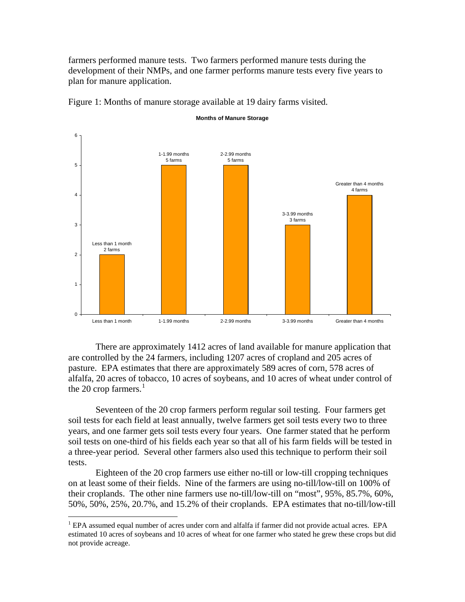farmers performed manure tests. Two farmers performed manure tests during the development of their NMPs, and one farmer performs manure tests every five years to plan for manure application.



Figure 1: Months of manure storage available at 19 dairy farms visited.

 There are approximately 1412 acres of land available for manure application that are controlled by the 24 farmers, including 1207 acres of cropland and 205 acres of pasture. EPA estimates that there are approximately 589 acres of corn, 578 acres of alfalfa, 20 acres of tobacco, 10 acres of soybeans, and 10 acres of wheat under control of the 20 crop farmers. $<sup>1</sup>$  $<sup>1</sup>$  $<sup>1</sup>$ </sup>

 Seventeen of the 20 crop farmers perform regular soil testing. Four farmers get soil tests for each field at least annually, twelve farmers get soil tests every two to three years, and one farmer gets soil tests every four years. One farmer stated that he perform soil tests on one-third of his fields each year so that all of his farm fields will be tested in a three-year period. Several other farmers also used this technique to perform their soil tests.

 Eighteen of the 20 crop farmers use either no-till or low-till cropping techniques on at least some of their fields. Nine of the farmers are using no-till/low-till on 100% of their croplands. The other nine farmers use no-till/low-till on "most", 95%, 85.7%, 60%, 50%, 50%, 25%, 20.7%, and 15.2% of their croplands. EPA estimates that no-till/low-till

 $\overline{a}$ 

<span id="page-4-0"></span><sup>&</sup>lt;sup>1</sup> EPA assumed equal number of acres under corn and alfalfa if farmer did not provide actual acres. EPA estimated 10 acres of soybeans and 10 acres of wheat for one farmer who stated he grew these crops but did not provide acreage.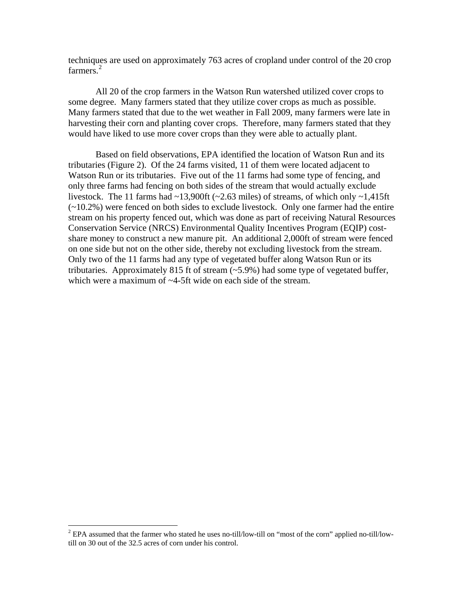techniques are used on approximately 763 acres of cropland under control of the 20 crop farmers.<sup>[2](#page-5-0)</sup>

 All 20 of the crop farmers in the Watson Run watershed utilized cover crops to some degree. Many farmers stated that they utilize cover crops as much as possible. Many farmers stated that due to the wet weather in Fall 2009, many farmers were late in harvesting their corn and planting cover crops. Therefore, many farmers stated that they would have liked to use more cover crops than they were able to actually plant.

 Based on field observations, EPA identified the location of Watson Run and its tributaries (Figure 2). Of the 24 farms visited, 11 of them were located adjacent to Watson Run or its tributaries. Five out of the 11 farms had some type of fencing, and only three farms had fencing on both sides of the stream that would actually exclude livestock. The 11 farms had  $\sim$ 13,900ft ( $\sim$ 2.63 miles) of streams, of which only  $\sim$ 1.415ft (~10.2%) were fenced on both sides to exclude livestock. Only one farmer had the entire stream on his property fenced out, which was done as part of receiving Natural Resources Conservation Service (NRCS) Environmental Quality Incentives Program (EQIP) costshare money to construct a new manure pit. An additional 2,000ft of stream were fenced on one side but not on the other side, thereby not excluding livestock from the stream. Only two of the 11 farms had any type of vegetated buffer along Watson Run or its tributaries. Approximately 815 ft of stream (~5.9%) had some type of vegetated buffer, which were a maximum of  $\sim$ 4-5ft wide on each side of the stream.

<span id="page-5-0"></span><sup>&</sup>lt;sup>2</sup> EPA assumed that the farmer who stated he uses no-till/low-till on "most of the corn" applied no-till/lowtill on 30 out of the 32.5 acres of corn under his control.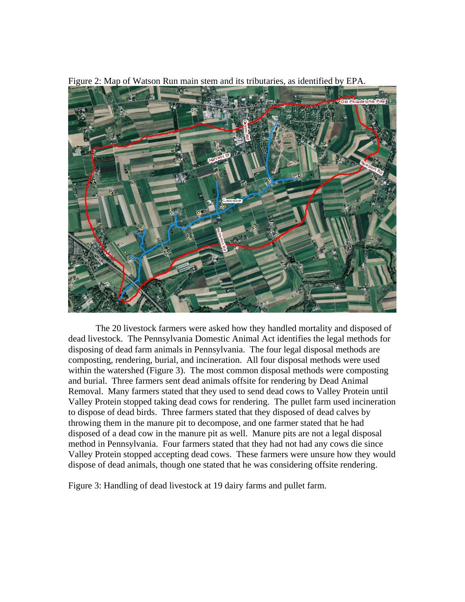

Figure 2: Map of Watson Run main stem and its tributaries, as identified by EPA.

 The 20 livestock farmers were asked how they handled mortality and disposed of dead livestock. The Pennsylvania Domestic Animal Act identifies the legal methods for disposing of dead farm animals in Pennsylvania. The four legal disposal methods are composting, rendering, burial, and incineration. All four disposal methods were used within the watershed (Figure 3). The most common disposal methods were composting and burial. Three farmers sent dead animals offsite for rendering by Dead Animal Removal. Many farmers stated that they used to send dead cows to Valley Protein until Valley Protein stopped taking dead cows for rendering. The pullet farm used incineration to dispose of dead birds. Three farmers stated that they disposed of dead calves by throwing them in the manure pit to decompose, and one farmer stated that he had disposed of a dead cow in the manure pit as well. Manure pits are not a legal disposal method in Pennsylvania. Four farmers stated that they had not had any cows die since Valley Protein stopped accepting dead cows. These farmers were unsure how they would dispose of dead animals, though one stated that he was considering offsite rendering.

Figure 3: Handling of dead livestock at 19 dairy farms and pullet farm.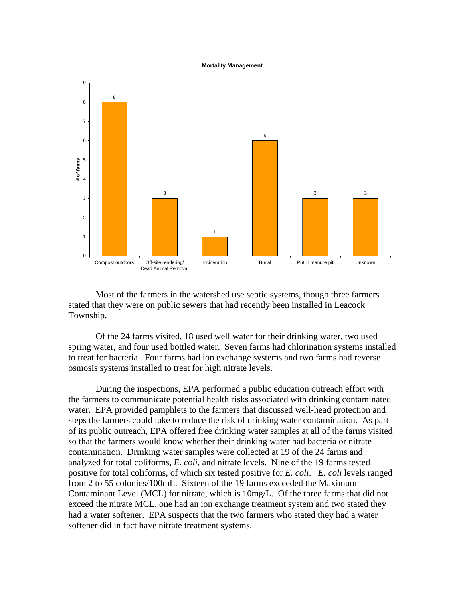#### **Mortality Management**



Most of the farmers in the watershed use septic systems, though three farmers stated that they were on public sewers that had recently been installed in Leacock Township.

Of the 24 farms visited, 18 used well water for their drinking water, two used spring water, and four used bottled water. Seven farms had chlorination systems installed to treat for bacteria. Four farms had ion exchange systems and two farms had reverse osmosis systems installed to treat for high nitrate levels.

During the inspections, EPA performed a public education outreach effort with the farmers to communicate potential health risks associated with drinking contaminated water. EPA provided pamphlets to the farmers that discussed well-head protection and steps the farmers could take to reduce the risk of drinking water contamination. As part of its public outreach, EPA offered free drinking water samples at all of the farms visited so that the farmers would know whether their drinking water had bacteria or nitrate contamination. Drinking water samples were collected at 19 of the 24 farms and analyzed for total coliforms, *E. coli*, and nitrate levels. Nine of the 19 farms tested positive for total coliforms, of which six tested positive for *E. coli*. *E. coli* levels ranged from 2 to 55 colonies/100mL. Sixteen of the 19 farms exceeded the Maximum Contaminant Level (MCL) for nitrate, which is 10mg/L. Of the three farms that did not exceed the nitrate MCL, one had an ion exchange treatment system and two stated they had a water softener. EPA suspects that the two farmers who stated they had a water softener did in fact have nitrate treatment systems.